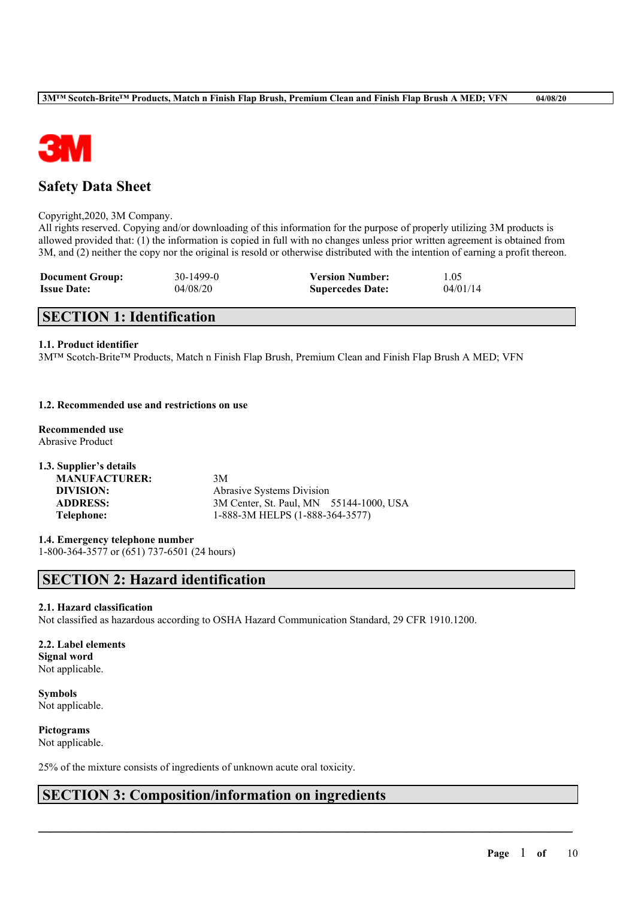

# **Safety Data Sheet**

#### Copyright,2020, 3M Company.

All rights reserved. Copying and/or downloading of this information for the purpose of properly utilizing 3M products is allowed provided that: (1) the information is copied in full with no changes unless prior written agreement is obtained from 3M, and (2) neither the copy nor the original is resold or otherwise distributed with the intention of earning a profit thereon.

| <b>Document Group:</b> | 30-1499-0 | <b>Version Number:</b>  | 1.05     |
|------------------------|-----------|-------------------------|----------|
| <b>Issue Date:</b>     | 04/08/20  | <b>Supercedes Date:</b> | 04/01/14 |

# **SECTION 1: Identification**

### **1.1. Product identifier**

3M™ Scotch-Brite™ Products, Match n Finish Flap Brush, Premium Clean and Finish Flap Brush A MED; VFN

### **1.2. Recommended use and restrictions on use**

**Recommended use**

Abrasive Product

| 3M                                      |  |
|-----------------------------------------|--|
| Abrasive Systems Division               |  |
| 3M Center, St. Paul, MN 55144-1000, USA |  |
| 1-888-3M HELPS (1-888-364-3577)         |  |
|                                         |  |

**1.4. Emergency telephone number**

1-800-364-3577 or (651) 737-6501 (24 hours)

# **SECTION 2: Hazard identification**

### **2.1. Hazard classification**

Not classified as hazardous according to OSHA Hazard Communication Standard, 29 CFR 1910.1200.

 $\mathcal{L}_\mathcal{L} = \mathcal{L}_\mathcal{L} = \mathcal{L}_\mathcal{L} = \mathcal{L}_\mathcal{L} = \mathcal{L}_\mathcal{L} = \mathcal{L}_\mathcal{L} = \mathcal{L}_\mathcal{L} = \mathcal{L}_\mathcal{L} = \mathcal{L}_\mathcal{L} = \mathcal{L}_\mathcal{L} = \mathcal{L}_\mathcal{L} = \mathcal{L}_\mathcal{L} = \mathcal{L}_\mathcal{L} = \mathcal{L}_\mathcal{L} = \mathcal{L}_\mathcal{L} = \mathcal{L}_\mathcal{L} = \mathcal{L}_\mathcal{L}$ 

**2.2. Label elements Signal word** Not applicable.

**Symbols** Not applicable.

**Pictograms** Not applicable.

25% of the mixture consists of ingredients of unknown acute oral toxicity.

### **SECTION 3: Composition/information on ingredients**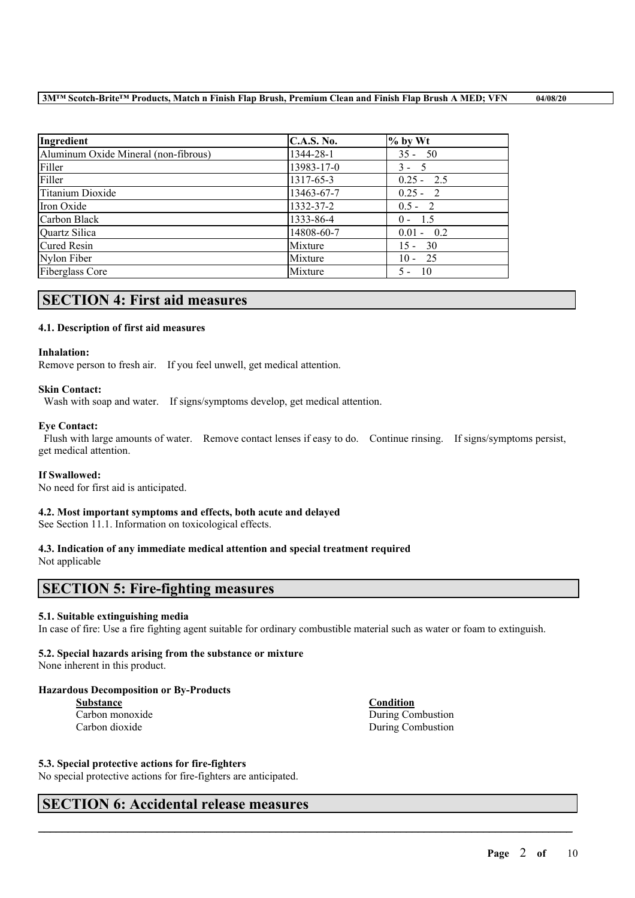| Ingredient                           | <b>C.A.S. No.</b> | $%$ by Wt    |
|--------------------------------------|-------------------|--------------|
| Aluminum Oxide Mineral (non-fibrous) | 1344-28-1         | $35 - 50$    |
| Filler                               | 13983-17-0        | $3 - 5$      |
| Filler                               | 1317-65-3         | $0.25 - 2.5$ |
| Titanium Dioxide                     | 13463-67-7        | $0.25 - 2$   |
| Iron Oxide                           | 1332-37-2         | $0.5 - 2$    |
| Carbon Black                         | 1333-86-4         | $0 - 1.5$    |
| Quartz Silica                        | 14808-60-7        | $0.01 - 0.2$ |
| <b>Cured Resin</b>                   | Mixture           | $15 - 30$    |
| Nylon Fiber                          | Mixture           | $10 - 25$    |
| <b>Fiberglass Core</b>               | Mixture           | $5 - 10$     |

# **SECTION 4: First aid measures**

### **4.1. Description of first aid measures**

### **Inhalation:**

Remove person to fresh air. If you feel unwell, get medical attention.

### **Skin Contact:**

Wash with soap and water. If signs/symptoms develop, get medical attention.

#### **Eye Contact:**

Flush with large amounts of water. Remove contact lenses if easy to do. Continue rinsing. If signs/symptoms persist, get medical attention.

#### **If Swallowed:**

No need for first aid is anticipated.

### **4.2. Most important symptoms and effects, both acute and delayed**

See Section 11.1. Information on toxicological effects.

# **4.3. Indication of any immediate medical attention and special treatment required**

Not applicable

## **SECTION 5: Fire-fighting measures**

### **5.1. Suitable extinguishing media**

In case of fire: Use a fire fighting agent suitable for ordinary combustible material such as water or foam to extinguish.

 $\mathcal{L}_\mathcal{L} = \mathcal{L}_\mathcal{L} = \mathcal{L}_\mathcal{L} = \mathcal{L}_\mathcal{L} = \mathcal{L}_\mathcal{L} = \mathcal{L}_\mathcal{L} = \mathcal{L}_\mathcal{L} = \mathcal{L}_\mathcal{L} = \mathcal{L}_\mathcal{L} = \mathcal{L}_\mathcal{L} = \mathcal{L}_\mathcal{L} = \mathcal{L}_\mathcal{L} = \mathcal{L}_\mathcal{L} = \mathcal{L}_\mathcal{L} = \mathcal{L}_\mathcal{L} = \mathcal{L}_\mathcal{L} = \mathcal{L}_\mathcal{L}$ 

### **5.2. Special hazards arising from the substance or mixture**

None inherent in this product.

### **Hazardous Decomposition or By-Products**

**Substance Condition**

Carbon monoxide During Combustion Carbon dioxide During Combustion

### **5.3. Special protective actions for fire-fighters**

No special protective actions for fire-fighters are anticipated.

### **SECTION 6: Accidental release measures**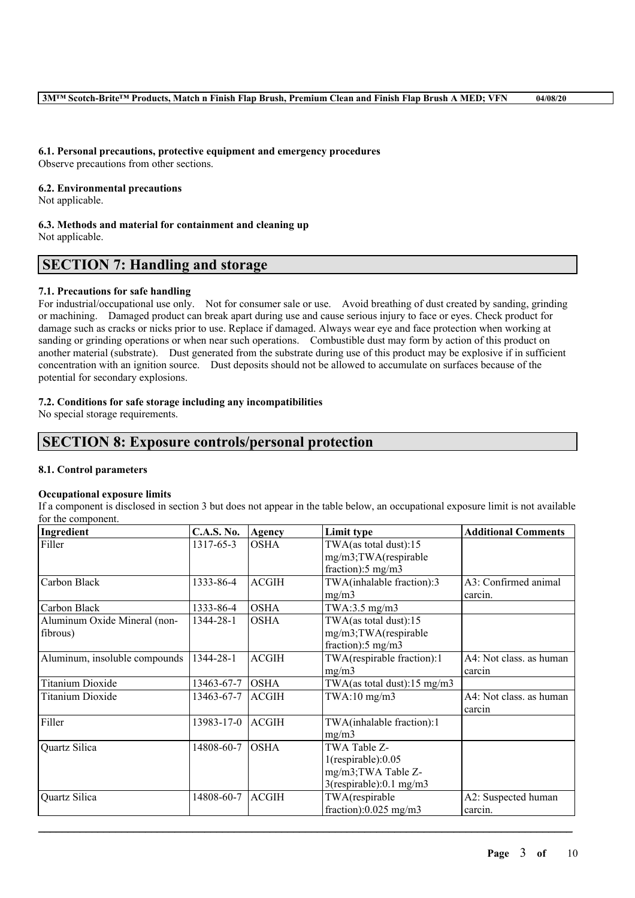**6.1. Personal precautions, protective equipment and emergency procedures** Observe precautions from other sections.

**6.2. Environmental precautions**

Not applicable.

**6.3. Methods and material for containment and cleaning up** Not applicable.

# **SECTION 7: Handling and storage**

### **7.1. Precautions for safe handling**

For industrial/occupational use only. Not for consumer sale or use. Avoid breathing of dust created by sanding, grinding or machining. Damaged product can break apart during use and cause serious injury to face or eyes. Check product for damage such as cracks or nicks prior to use. Replace if damaged. Always wear eye and face protection when working at sanding or grinding operations or when near such operations. Combustible dust may form by action of this product on another material (substrate). Dust generated from the substrate during use of this product may be explosive if in sufficient concentration with an ignition source. Dust deposits should not be allowed to accumulate on surfaces because of the potential for secondary explosions.

### **7.2. Conditions for safe storage including any incompatibilities**

No special storage requirements.

# **SECTION 8: Exposure controls/personal protection**

### **8.1. Control parameters**

### **Occupational exposure limits**

If a component is disclosed in section 3 but does not appear in the table below, an occupational exposure limit is not available for the component.

| Ingredient                    | <b>C.A.S. No.</b> | Agency       | Limit type                                    | <b>Additional Comments</b>        |
|-------------------------------|-------------------|--------------|-----------------------------------------------|-----------------------------------|
| Filler                        | 1317-65-3         | <b>OSHA</b>  | TWA(as total dust):15<br>mg/m3;TWA(respirable |                                   |
|                               |                   |              | fraction):5 mg/m3                             |                                   |
| Carbon Black                  | 1333-86-4         | <b>ACGIH</b> | TWA(inhalable fraction):3                     | A3: Confirmed animal              |
|                               |                   |              | mg/m3                                         | carcin.                           |
| Carbon Black                  | 1333-86-4         | <b>OSHA</b>  | TWA:3.5 $mg/m3$                               |                                   |
| Aluminum Oxide Mineral (non-  | 1344-28-1         | <b>OSHA</b>  | TWA(as total dust):15                         |                                   |
| fibrous)                      |                   |              | mg/m3;TWA(respirable                          |                                   |
|                               |                   |              | fraction): $5 \text{ mg/m}$ 3                 |                                   |
| Aluminum, insoluble compounds | 1344-28-1         | <b>ACGIH</b> | TWA(respirable fraction):1                    | A4: Not class. as human           |
|                               |                   |              | mg/m3                                         | carcin                            |
| Titanium Dioxide              | 13463-67-7        | <b>OSHA</b>  | TWA(as total dust):15 mg/m3                   |                                   |
| Titanium Dioxide              | 13463-67-7        | <b>ACGIH</b> | $TWA:10$ mg/m $3$                             | A4: Not class. as human<br>carcin |
| Filler                        | 13983-17-0        | <b>ACGIH</b> | TWA(inhalable fraction):1<br>mg/m3            |                                   |
| Quartz Silica                 | 14808-60-7        | <b>OSHA</b>  | TWA Table Z-                                  |                                   |
|                               |                   |              | $1$ (respirable): $0.05$                      |                                   |
|                               |                   |              | mg/m3;TWA Table Z-                            |                                   |
|                               |                   |              | $3$ (respirable):0.1 mg/m $3$                 |                                   |
| Quartz Silica                 | 14808-60-7        | <b>ACGIH</b> | TWA(respirable                                | A2: Suspected human               |
|                               |                   |              | fraction): $0.025$ mg/m3                      | carcin.                           |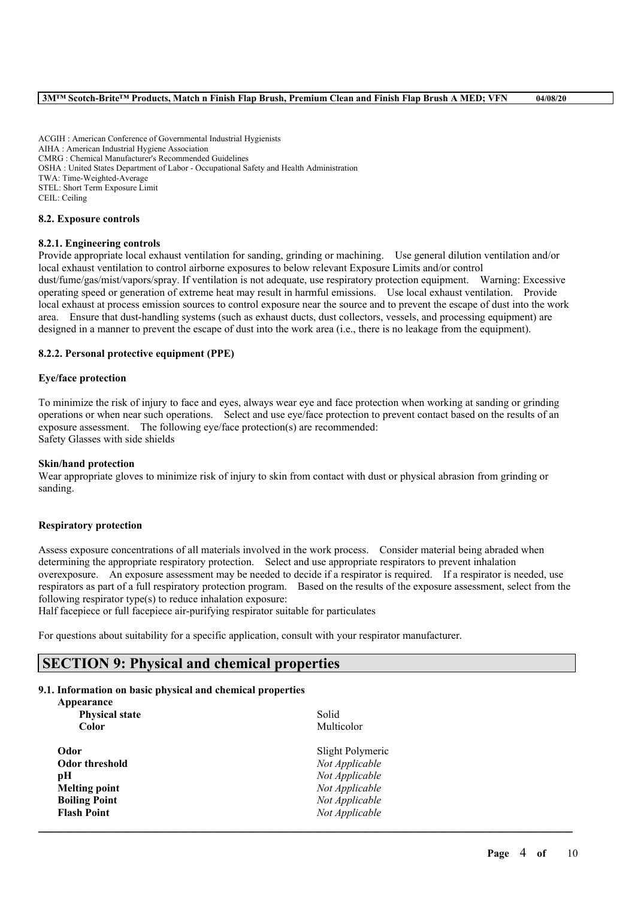ACGIH : American Conference of Governmental Industrial Hygienists AIHA : American Industrial Hygiene Association CMRG : Chemical Manufacturer's Recommended Guidelines OSHA : United States Department of Labor - Occupational Safety and Health Administration TWA: Time-Weighted-Average STEL: Short Term Exposure Limit CEIL: Ceiling

#### **8.2. Exposure controls**

#### **8.2.1. Engineering controls**

Provide appropriate local exhaust ventilation for sanding, grinding or machining. Use general dilution ventilation and/or local exhaust ventilation to control airborne exposures to below relevant Exposure Limits and/or control dust/fume/gas/mist/vapors/spray. If ventilation is not adequate, use respiratory protection equipment. Warning: Excessive operating speed or generation of extreme heat may result in harmful emissions. Use local exhaust ventilation. Provide local exhaust at process emission sources to control exposure near the source and to prevent the escape of dust into the work area. Ensure that dust-handling systems (such as exhaust ducts, dust collectors, vessels, and processing equipment) are designed in a manner to prevent the escape of dust into the work area (i.e., there is no leakage from the equipment).

#### **8.2.2. Personal protective equipment (PPE)**

#### **Eye/face protection**

To minimize the risk of injury to face and eyes, always wear eye and face protection when working at sanding or grinding operations or when near such operations. Select and use eye/face protection to prevent contact based on the results of an exposure assessment. The following eye/face protection(s) are recommended: Safety Glasses with side shields

#### **Skin/hand protection**

Wear appropriate gloves to minimize risk of injury to skin from contact with dust or physical abrasion from grinding or sanding.

#### **Respiratory protection**

Assess exposure concentrations of all materials involved in the work process. Consider material being abraded when determining the appropriate respiratory protection. Select and use appropriate respirators to prevent inhalation overexposure. An exposure assessment may be needed to decide if a respirator is required. If a respirator is needed, use respirators as part of a full respiratory protection program. Based on the results of the exposure assessment, select from the following respirator type(s) to reduce inhalation exposure:

 $\mathcal{L}_\mathcal{L} = \mathcal{L}_\mathcal{L} = \mathcal{L}_\mathcal{L} = \mathcal{L}_\mathcal{L} = \mathcal{L}_\mathcal{L} = \mathcal{L}_\mathcal{L} = \mathcal{L}_\mathcal{L} = \mathcal{L}_\mathcal{L} = \mathcal{L}_\mathcal{L} = \mathcal{L}_\mathcal{L} = \mathcal{L}_\mathcal{L} = \mathcal{L}_\mathcal{L} = \mathcal{L}_\mathcal{L} = \mathcal{L}_\mathcal{L} = \mathcal{L}_\mathcal{L} = \mathcal{L}_\mathcal{L} = \mathcal{L}_\mathcal{L}$ 

Half facepiece or full facepiece air-purifying respirator suitable for particulates

For questions about suitability for a specific application, consult with your respirator manufacturer.

### **SECTION 9: Physical and chemical properties**

#### **9.1. Information on basic physical and chemical properties**

| Appearance            |                  |
|-----------------------|------------------|
| <b>Physical state</b> | Solid            |
| Color                 | Multicolor       |
| Odor                  | Slight Polymeric |
| <b>Odor threshold</b> | Not Applicable   |
| рH                    | Not Applicable   |
| <b>Melting point</b>  | Not Applicable   |
| <b>Boiling Point</b>  | Not Applicable   |
| <b>Flash Point</b>    | Not Applicable   |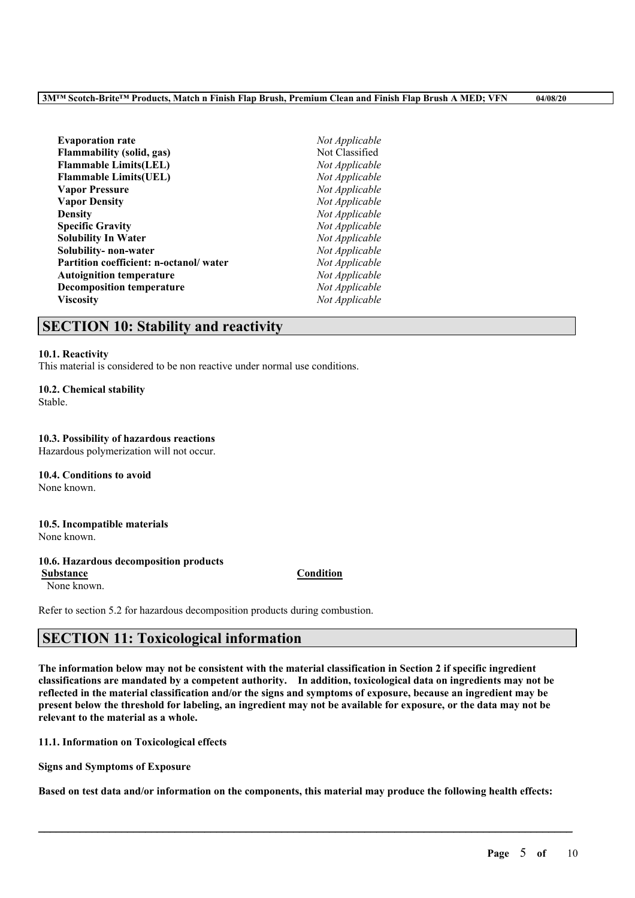| <b>Evaporation rate</b>                | Not Applicable |
|----------------------------------------|----------------|
| Flammability (solid, gas)              | Not Classified |
| <b>Flammable Limits(LEL)</b>           | Not Applicable |
| <b>Flammable Limits(UEL)</b>           | Not Applicable |
| <b>Vapor Pressure</b>                  | Not Applicable |
| <b>Vapor Density</b>                   | Not Applicable |
| <b>Density</b>                         | Not Applicable |
| <b>Specific Gravity</b>                | Not Applicable |
| Solubility In Water                    | Not Applicable |
| Solubility- non-water                  | Not Applicable |
| Partition coefficient: n-octanol/water | Not Applicable |
| <b>Autoignition temperature</b>        | Not Applicable |
| <b>Decomposition temperature</b>       | Not Applicable |
| <b>Viscosity</b>                       | Not Applicable |

# **SECTION 10: Stability and reactivity**

#### **10.1. Reactivity**

This material is considered to be non reactive under normal use conditions.

### **10.2. Chemical stability**

Stable.

### **10.3. Possibility of hazardous reactions**

Hazardous polymerization will not occur.

**10.4. Conditions to avoid** None known.

# **10.5. Incompatible materials**

None known.

### **10.6. Hazardous decomposition products**

**Substance Condition** None known.

Refer to section 5.2 for hazardous decomposition products during combustion.

# **SECTION 11: Toxicological information**

The information below may not be consistent with the material classification in Section 2 if specific ingredient **classifications are mandated by a competent authority. In addition, toxicological data on ingredients may not be** reflected in the material classification and/or the signs and symptoms of exposure, because an ingredient may be present below the threshold for labeling, an ingredient may not be available for exposure, or the data may not be **relevant to the material as a whole.**

**11.1. Information on Toxicological effects**

**Signs and Symptoms of Exposure**

Based on test data and/or information on the components, this material may produce the following health effects: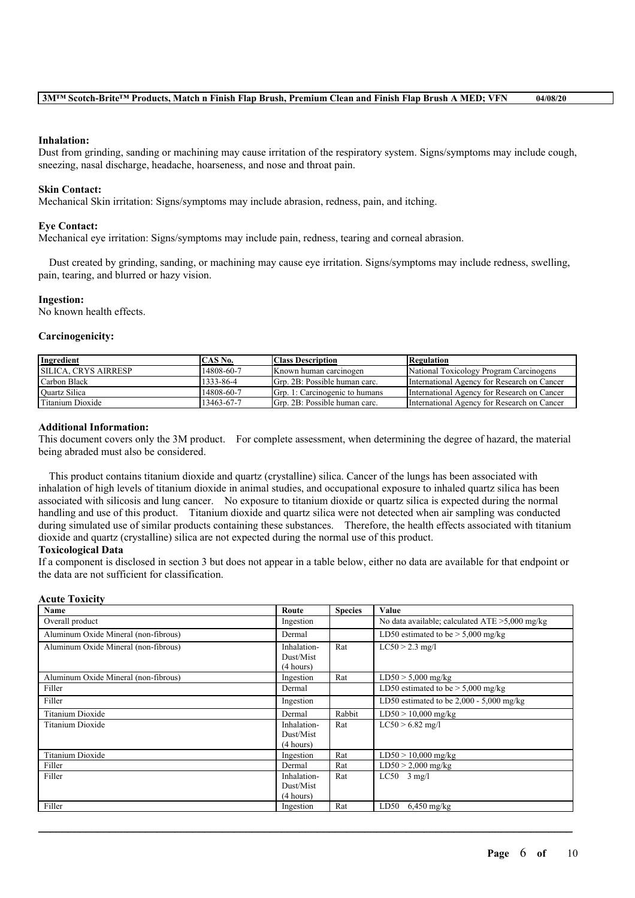#### **Inhalation:**

Dust from grinding, sanding or machining may cause irritation of the respiratory system. Signs/symptoms may include cough, sneezing, nasal discharge, headache, hoarseness, and nose and throat pain.

#### **Skin Contact:**

Mechanical Skin irritation: Signs/symptoms may include abrasion, redness, pain, and itching.

#### **Eye Contact:**

Mechanical eye irritation: Signs/symptoms may include pain, redness, tearing and corneal abrasion.

Dust created by grinding, sanding, or machining may cause eye irritation. Signs/symptoms may include redness, swelling, pain, tearing, and blurred or hazy vision.

#### **Ingestion:**

No known health effects.

#### **Carcinogenicity:**

| Ingredient                  | CAS No.    | <b>Class Description</b>       | Regulation                                  |
|-----------------------------|------------|--------------------------------|---------------------------------------------|
| <b>SILICA. CRYS AIRRESP</b> | 14808-60-7 | Known human carcinogen         | National Toxicology Program Carcinogens     |
| Carbon Black                | 1333-86-4  | Grp. 2B: Possible human carc.  | International Agency for Research on Cancer |
| <b>Ouartz Silica</b>        | 14808-60-7 | Grp. 1: Carcinogenic to humans | International Agency for Research on Cancer |
| Titanium Dioxide            | 13463-67-7 | Grp. 2B: Possible human carc.  | International Agency for Research on Cancer |

#### **Additional Information:**

This document covers only the 3M product. For complete assessment, when determining the degree of hazard, the material being abraded must also be considered.

This product contains titanium dioxide and quartz (crystalline) silica. Cancer of the lungs has been associated with inhalation of high levels of titanium dioxide in animal studies, and occupational exposure to inhaled quartz silica has been associated with silicosis and lung cancer. No exposure to titanium dioxide or quartz silica is expected during the normal handling and use of this product. Titanium dioxide and quartz silica were not detected when air sampling was conducted during simulated use of similar products containing these substances. Therefore, the health effects associated with titanium dioxide and quartz (crystalline) silica are not expected during the normal use of this product. **Toxicological Data**

#### If a component is disclosed in section 3 but does not appear in a table below, either no data are available for that endpoint or the data are not sufficient for classification.

**Acute Toxicity**

| Acute l'oxicity                      |                                       |                |                                                   |
|--------------------------------------|---------------------------------------|----------------|---------------------------------------------------|
| Name                                 | Route                                 | <b>Species</b> | Value                                             |
| Overall product                      | Ingestion                             |                | No data available; calculated $ATE > 5,000$ mg/kg |
| Aluminum Oxide Mineral (non-fibrous) | Dermal                                |                | LD50 estimated to be $> 5,000$ mg/kg              |
| Aluminum Oxide Mineral (non-fibrous) | Inhalation-<br>Dust/Mist<br>(4 hours) | Rat            | $LC50 > 2.3$ mg/l                                 |
| Aluminum Oxide Mineral (non-fibrous) | Ingestion                             | Rat            | $LD50 > 5,000$ mg/kg                              |
| Filler                               | Dermal                                |                | LD50 estimated to be $> 5,000$ mg/kg              |
| Filler                               | Ingestion                             |                | LD50 estimated to be $2,000 - 5,000$ mg/kg        |
| Titanium Dioxide                     | Dermal                                | Rabbit         | $LD50 > 10,000$ mg/kg                             |
| Titanium Dioxide                     | Inhalation-<br>Dust/Mist<br>(4 hours) | Rat            | $LC50 > 6.82$ mg/l                                |
| <b>Titanium Dioxide</b>              | Ingestion                             | Rat            | $LD50 > 10,000$ mg/kg                             |
| Filler                               | Dermal                                | Rat            | $LD50 > 2,000$ mg/kg                              |
| Filler                               | Inhalation-<br>Dust/Mist<br>(4 hours) | Rat            | $LC50$ 3 mg/l                                     |
| Filler                               | Ingestion                             | Rat            | LD50<br>$6,450$ mg/kg                             |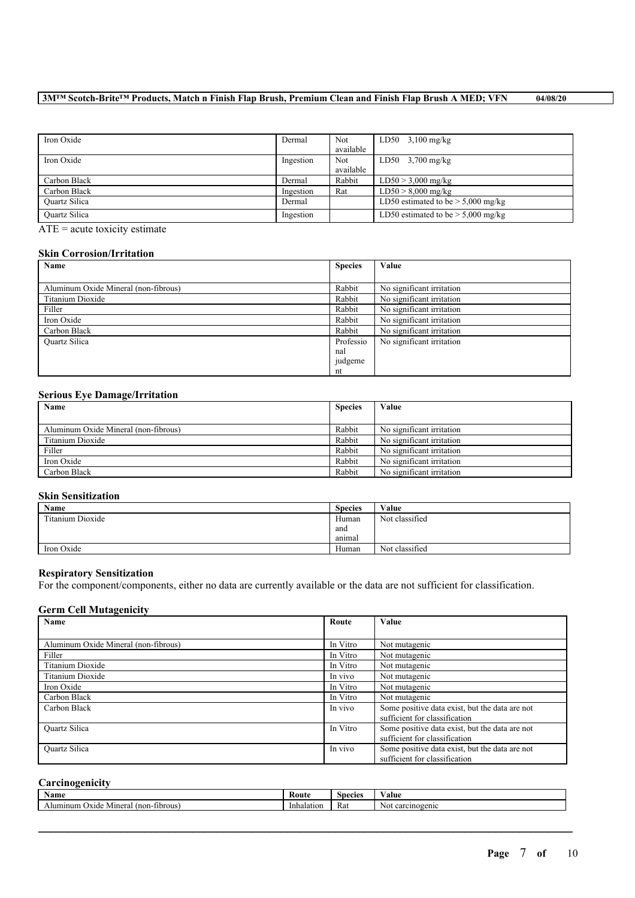### 3MTM Scotch-Brite<sup>TM</sup> Products, Match n Finish Flap Brush, Premium Clean and Finish Flap Brush A MED; VFN 04/08/20

| Iron Oxide           | Dermal    | <b>Not</b> | $LD50$ 3,100 mg/kg                   |
|----------------------|-----------|------------|--------------------------------------|
|                      |           | available  |                                      |
| Iron Oxide           | Ingestion | <b>Not</b> | LD50 $3,700$ mg/kg                   |
|                      |           | available  |                                      |
| Carbon Black         | Dermal    | Rabbit     | $LD50 > 3,000$ mg/kg                 |
| Carbon Black         | Ingestion | Rat        | $LD50 > 8,000$ mg/kg                 |
| <b>Ouartz Silica</b> | Dermal    |            | LD50 estimated to be $> 5,000$ mg/kg |
| <b>Ouartz Silica</b> | Ingestion |            | LD50 estimated to be $> 5,000$ mg/kg |

 $\overline{ATE}$  = acute toxicity estimate

### **Skin Corrosion/Irritation**

| Name                                 | <b>Species</b> | Value                     |
|--------------------------------------|----------------|---------------------------|
|                                      |                |                           |
| Aluminum Oxide Mineral (non-fibrous) | Rabbit         | No significant irritation |
| Titanium Dioxide                     | Rabbit         | No significant irritation |
| Filler                               | Rabbit         | No significant irritation |
| Iron Oxide                           | Rabbit         | No significant irritation |
| Carbon Black                         | Rabbit         | No significant irritation |
| <b>Ouartz Silica</b>                 | Professio      | No significant irritation |
|                                      | nal            |                           |
|                                      | judgeme        |                           |
|                                      | nt             |                           |

### **Serious Eye Damage/Irritation**

| Name                                 | <b>Species</b> | Value                     |
|--------------------------------------|----------------|---------------------------|
|                                      |                |                           |
| Aluminum Oxide Mineral (non-fibrous) | Rabbit         | No significant irritation |
| Titanium Dioxide                     | Rabbit         | No significant irritation |
| Filler                               | Rabbit         | No significant irritation |
| Iron Oxide                           | Rabbit         | No significant irritation |
| Carbon Black                         | Rabbit         | No significant irritation |

### **Skin Sensitization**

| Name             | <b>Species</b> | Value          |
|------------------|----------------|----------------|
| Titanium Dioxide | Human          | Not classified |
|                  | and            |                |
|                  | animal         |                |
| Iron Oxide       | Human          | Not classified |

### **Respiratory Sensitization**

For the component/components, either no data are currently available or the data are not sufficient for classification.

### **Germ Cell Mutagenicity**

| Name                                 | Route    | Value                                          |
|--------------------------------------|----------|------------------------------------------------|
|                                      |          |                                                |
| Aluminum Oxide Mineral (non-fibrous) | In Vitro | Not mutagenic                                  |
| Filler                               | In Vitro | Not mutagenic                                  |
| Titanium Dioxide                     | In Vitro | Not mutagenic                                  |
| Titanium Dioxide                     | In vivo  | Not mutagenic                                  |
| Iron Oxide                           | In Vitro | Not mutagenic                                  |
| Carbon Black                         | In Vitro | Not mutagenic                                  |
| Carbon Black                         | In vivo  | Some positive data exist, but the data are not |
|                                      |          | sufficient for classification                  |
| <b>Ouartz Silica</b>                 | In Vitro | Some positive data exist, but the data are not |
|                                      |          | sufficient for classification                  |
| <b>Ouartz Silica</b>                 | In vivo  | Some positive data exist, but the data are not |
|                                      |          | sufficient for classification                  |

### **Carcinogenicity**

| Name                                                           | Rout       | snecies | ⁄ alue            |
|----------------------------------------------------------------|------------|---------|-------------------|
| $(non-1)$<br>)xide<br>-fibrous<br>Minera <sub>1</sub><br>mınun | Inhalation | Ka.     | $2$ enic<br>einos |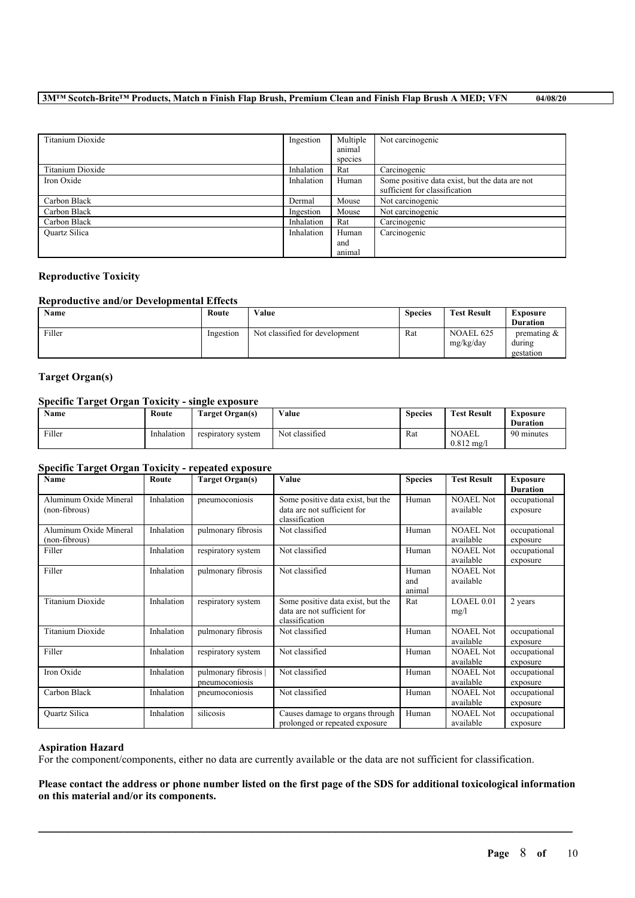### 3MTM Scotch-Brite<sup>TM</sup> Products, Match n Finish Flap Brush, Premium Clean and Finish Flap Brush A MED; VFN 04/08/20

| Titanium Dioxide     | Ingestion  | Multiple | Not carcinogenic                               |
|----------------------|------------|----------|------------------------------------------------|
|                      |            | animal   |                                                |
|                      |            | species  |                                                |
| Titanium Dioxide     | Inhalation | Rat      | Carcinogenic                                   |
| Iron Oxide           | Inhalation | Human    | Some positive data exist, but the data are not |
|                      |            |          | sufficient for classification                  |
| Carbon Black         | Dermal     | Mouse    | Not carcinogenic                               |
| Carbon Black         | Ingestion  | Mouse    | Not carcinogenic                               |
| Carbon Black         | Inhalation | Rat      | Carcinogenic                                   |
| <b>Ouartz Silica</b> | Inhalation | Human    | Carcinogenic                                   |
|                      |            | and      |                                                |
|                      |            | animal   |                                                |

### **Reproductive Toxicity**

### **Reproductive and/or Developmental Effects**

| Name   | Route     | Value                          | <b>Species</b> | <b>Test Result</b>     | <b>Exposure</b><br><b>Duration</b>    |
|--------|-----------|--------------------------------|----------------|------------------------|---------------------------------------|
| Filler | Ingestion | Not classified for development | Rat            | NOAEL 625<br>mg/kg/day | premating $\&$<br>during<br>gestation |

### **Target Organ(s)**

### **Specific Target Organ Toxicity - single exposure**

| Name   | Route      | Target Organ(s)    | Value          | <b>Species</b> | <b>Test Result</b>                    | Exposure<br><b>Duration</b> |
|--------|------------|--------------------|----------------|----------------|---------------------------------------|-----------------------------|
| Filler | Inhalation | respiratory system | Not classified | Rat            | <b>NOAEL</b><br>$0.812 \text{ mg}$ /l | 90 minutes                  |

### **Specific Target Organ Toxicity - repeated exposure**

| Name                                    | Route      | <b>Target Organ(s)</b>               | Value                                                                              | <b>Species</b>         | <b>Test Result</b>            | <b>Exposure</b><br><b>Duration</b> |
|-----------------------------------------|------------|--------------------------------------|------------------------------------------------------------------------------------|------------------------|-------------------------------|------------------------------------|
| Aluminum Oxide Mineral<br>(non-fibrous) | Inhalation | pneumoconiosis                       | Some positive data exist, but the<br>data are not sufficient for<br>classification | Human                  | <b>NOAEL Not</b><br>available | occupational<br>exposure           |
| Aluminum Oxide Mineral<br>(non-fibrous) | Inhalation | pulmonary fibrosis                   | Not classified                                                                     | Human                  | <b>NOAEL Not</b><br>available | occupational<br>exposure           |
| Filler                                  | Inhalation | respiratory system                   | Not classified                                                                     | Human                  | <b>NOAEL Not</b><br>available | occupational<br>exposure           |
| Filler                                  | Inhalation | pulmonary fibrosis                   | Not classified                                                                     | Human<br>and<br>animal | <b>NOAEL Not</b><br>available |                                    |
| <b>Titanium Dioxide</b>                 | Inhalation | respiratory system                   | Some positive data exist, but the<br>data are not sufficient for<br>classification | Rat                    | LOAEL 0.01<br>mg/l            | 2 years                            |
| <b>Titanium Dioxide</b>                 | Inhalation | pulmonary fibrosis                   | Not classified                                                                     | Human                  | <b>NOAEL Not</b><br>available | occupational<br>exposure           |
| Filler                                  | Inhalation | respiratory system                   | Not classified                                                                     | Human                  | <b>NOAEL Not</b><br>available | occupational<br>exposure           |
| Iron Oxide                              | Inhalation | pulmonary fibrosis<br>pneumoconiosis | Not classified                                                                     | Human                  | <b>NOAEL Not</b><br>available | occupational<br>exposure           |
| Carbon Black                            | Inhalation | pneumoconiosis                       | Not classified                                                                     | Human                  | <b>NOAEL Not</b><br>available | occupational<br>exposure           |
| <b>Ouartz Silica</b>                    | Inhalation | silicosis                            | Causes damage to organs through<br>prolonged or repeated exposure                  | Human                  | <b>NOAEL Not</b><br>available | occupational<br>exposure           |

### **Aspiration Hazard**

For the component/components, either no data are currently available or the data are not sufficient for classification.

Please contact the address or phone number listed on the first page of the SDS for additional toxicological information **on this material and/or its components.**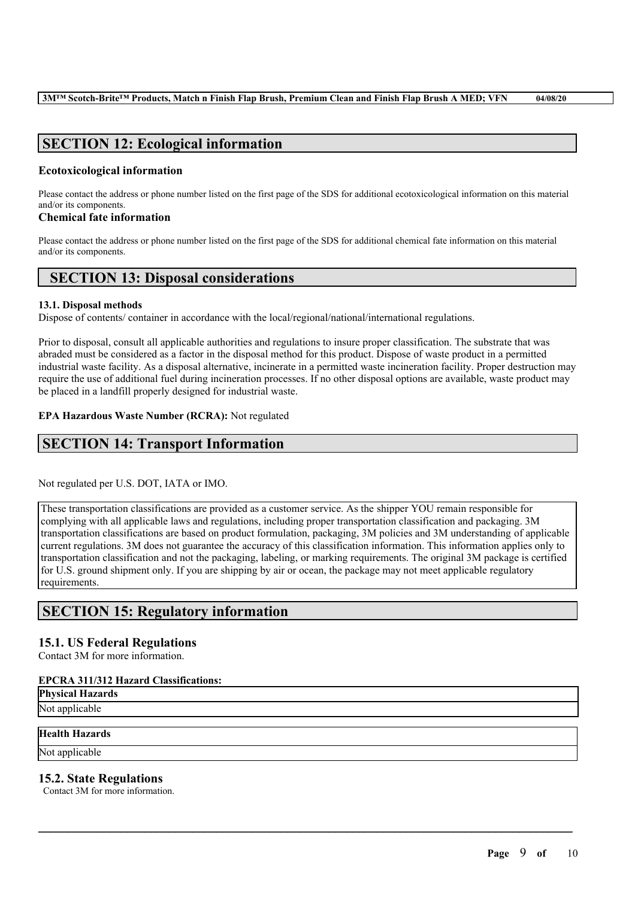# **SECTION 12: Ecological information**

### **Ecotoxicological information**

Please contact the address or phone number listed on the first page of the SDS for additional ecotoxicological information on this material and/or its components.

### **Chemical fate information**

Please contact the address or phone number listed on the first page of the SDS for additional chemical fate information on this material and/or its components.

# **SECTION 13: Disposal considerations**

### **13.1. Disposal methods**

Dispose of contents/ container in accordance with the local/regional/national/international regulations.

Prior to disposal, consult all applicable authorities and regulations to insure proper classification. The substrate that was abraded must be considered as a factor in the disposal method for this product. Dispose of waste product in a permitted industrial waste facility. As a disposal alternative, incinerate in a permitted waste incineration facility. Proper destruction may require the use of additional fuel during incineration processes. If no other disposal options are available, waste product may be placed in a landfill properly designed for industrial waste.

### **EPA Hazardous Waste Number (RCRA):** Not regulated

# **SECTION 14: Transport Information**

Not regulated per U.S. DOT, IATA or IMO.

These transportation classifications are provided as a customer service. As the shipper YOU remain responsible for complying with all applicable laws and regulations, including proper transportation classification and packaging. 3M transportation classifications are based on product formulation, packaging, 3M policies and 3M understanding of applicable current regulations. 3M does not guarantee the accuracy of this classification information. This information applies only to transportation classification and not the packaging, labeling, or marking requirements. The original 3M package is certified for U.S. ground shipment only. If you are shipping by air or ocean, the package may not meet applicable regulatory requirements.

 $\mathcal{L}_\mathcal{L} = \mathcal{L}_\mathcal{L} = \mathcal{L}_\mathcal{L} = \mathcal{L}_\mathcal{L} = \mathcal{L}_\mathcal{L} = \mathcal{L}_\mathcal{L} = \mathcal{L}_\mathcal{L} = \mathcal{L}_\mathcal{L} = \mathcal{L}_\mathcal{L} = \mathcal{L}_\mathcal{L} = \mathcal{L}_\mathcal{L} = \mathcal{L}_\mathcal{L} = \mathcal{L}_\mathcal{L} = \mathcal{L}_\mathcal{L} = \mathcal{L}_\mathcal{L} = \mathcal{L}_\mathcal{L} = \mathcal{L}_\mathcal{L}$ 

# **SECTION 15: Regulatory information**

### **15.1. US Federal Regulations**

Contact 3M for more information.

### **EPCRA 311/312 Hazard Classifications:**

**Physical Hazards** Not applicable

### **Health Hazards**

Not applicable

### **15.2. State Regulations**

Contact 3M for more information.